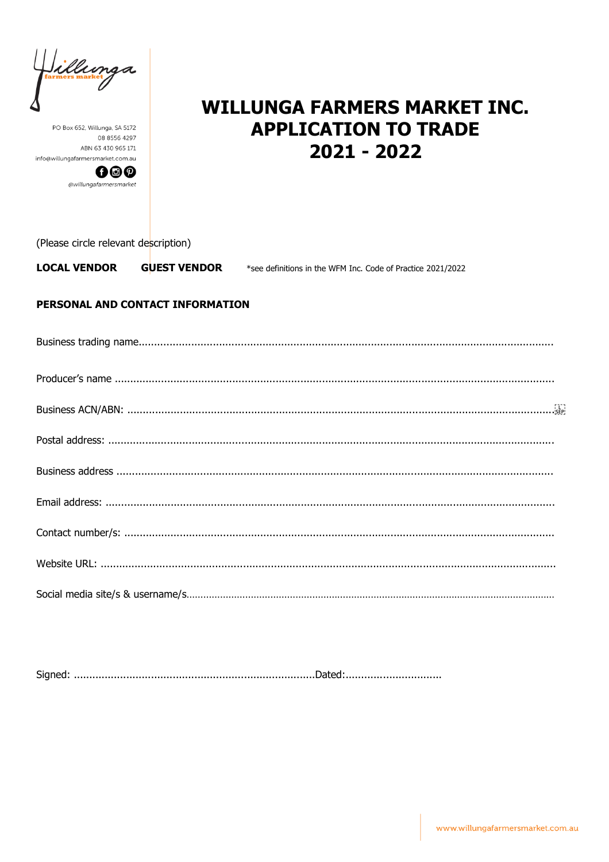illunga

PO Box 652, Willunga, SA 5172 08 8556 4297 ABN 63 430 965 171 info@willungafarmersmarket.com.au



# **WILLUNGA FARMERS MARKET INC. APPLICATION TO TRADE**  $2021 - 2022$

(Please circle relevant description)

**LOCAL VENDOR GUEST VENDOR** \*see definitions in the WFM Inc. Code of Practice 2021/2022

## PERSONAL AND CONTACT INFORMATION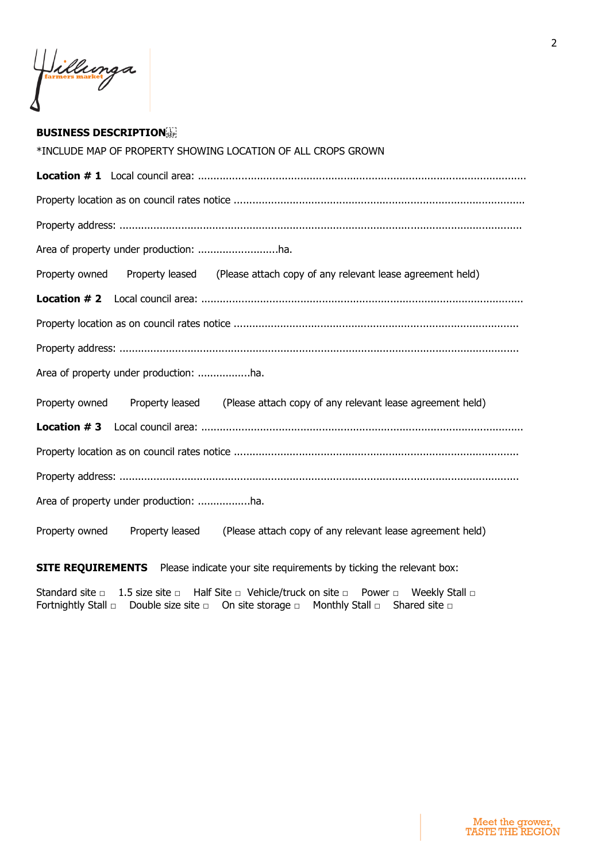Jillunga

### **BUSINESS DESCRIPTION**

| *INCLUDE MAP OF PROPERTY SHOWING LOCATION OF ALL CROPS GROWN                                   |
|------------------------------------------------------------------------------------------------|
|                                                                                                |
|                                                                                                |
|                                                                                                |
|                                                                                                |
| Property owned Property leased (Please attach copy of any relevant lease agreement held)       |
|                                                                                                |
|                                                                                                |
|                                                                                                |
|                                                                                                |
| Property owned Property leased (Please attach copy of any relevant lease agreement held)       |
|                                                                                                |
|                                                                                                |
|                                                                                                |
|                                                                                                |
| (Please attach copy of any relevant lease agreement held)<br>Property owned<br>Property leased |

**SITE REQUIREMENTS** Please indicate your site requirements by ticking the relevant box:

Standard site □ 1.5 size site □ Half Site □ Vehicle/truck on site □ Power □ Weekly Stall □ Fortnightly Stall □ Double size site □ On site storage □ Monthly Stall □ Shared site □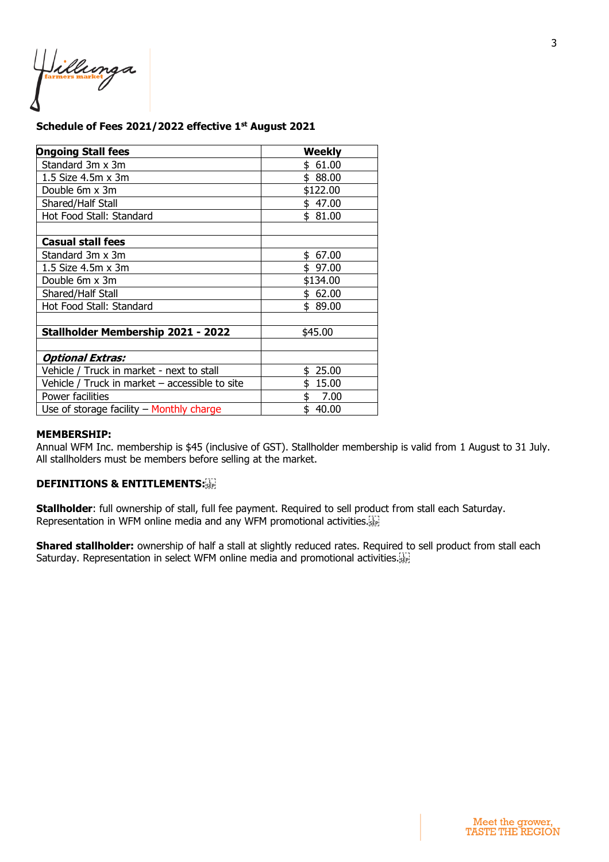Jillunga

### **Schedule of Fees 2021/2022 effective 1st August 2021**

| <b>Ongoing Stall fees</b>                      | Weekly      |
|------------------------------------------------|-------------|
| Standard 3m x 3m                               | \$61.00     |
| 1.5 Size 4.5m x 3m                             | \$88.00     |
| Double 6m x 3m                                 | \$122.00    |
| Shared/Half Stall                              | \$47.00     |
| Hot Food Stall: Standard                       | \$81.00     |
|                                                |             |
| <b>Casual stall fees</b>                       |             |
| Standard 3m x 3m                               | 67.00<br>\$ |
| 1.5 Size 4.5m x 3m                             | \$97.00     |
| Double 6m x 3m                                 | \$134.00    |
| Shared/Half Stall                              | \$62.00     |
| Hot Food Stall: Standard                       | \$ 89.00    |
|                                                |             |
| Stallholder Membership 2021 - 2022             | \$45.00     |
|                                                |             |
| Optional Extras:                               |             |
| Vehicle / Truck in market - next to stall      | 25.00<br>\$ |
| Vehicle / Truck in market - accessible to site | 15.00       |
| Power facilities                               | 7.00        |
| Use of storage facility $-$ Monthly charge     | \$<br>40.00 |

#### **MEMBERSHIP:**

Annual WFM Inc. membership is \$45 (inclusive of GST). Stallholder membership is valid from 1 August to 31 July. All stallholders must be members before selling at the market.

#### **DEFINITIONS & ENTITLEMENTS:**

**Stallholder**: full ownership of stall, full fee payment. Required to sell product from stall each Saturday. Representation in WFM online media and any WFM promotional activities.

**Shared stallholder:** ownership of half a stall at slightly reduced rates. Required to sell product from stall each Saturday. Representation in select WFM online media and promotional activities.<sup>[17]</sup>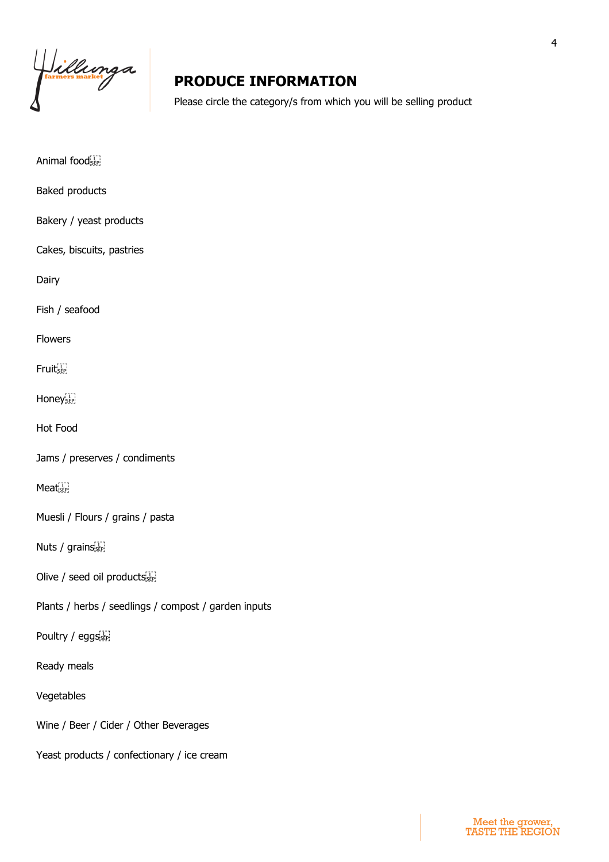Hillunga

# **PRODUCE INFORMATION**

Please circle the category/s from which you will be selling product

| Animal foodser                                       |
|------------------------------------------------------|
| Baked products                                       |
| Bakery / yeast products                              |
| Cakes, biscuits, pastries                            |
| Dairy                                                |
| Fish / seafood                                       |
| <b>Flowers</b>                                       |
| Fruit <sub>ser</sub>                                 |
| Honey <sub>sep</sub>                                 |
| <b>Hot Food</b>                                      |
| Jams / preserves / condiments                        |
| MeatsEp                                              |
| Muesli / Flours / grains / pasta                     |
| Nuts / $grainsse$                                    |
| Olive / seed oil products                            |
| Plants / herbs / seedlings / compost / garden inputs |
| Poultry / eggs sep                                   |
| Ready meals                                          |
| Vegetables                                           |
| Wine / Beer / Cider / Other Beverages                |
| Yeast products / confectionary / ice cream           |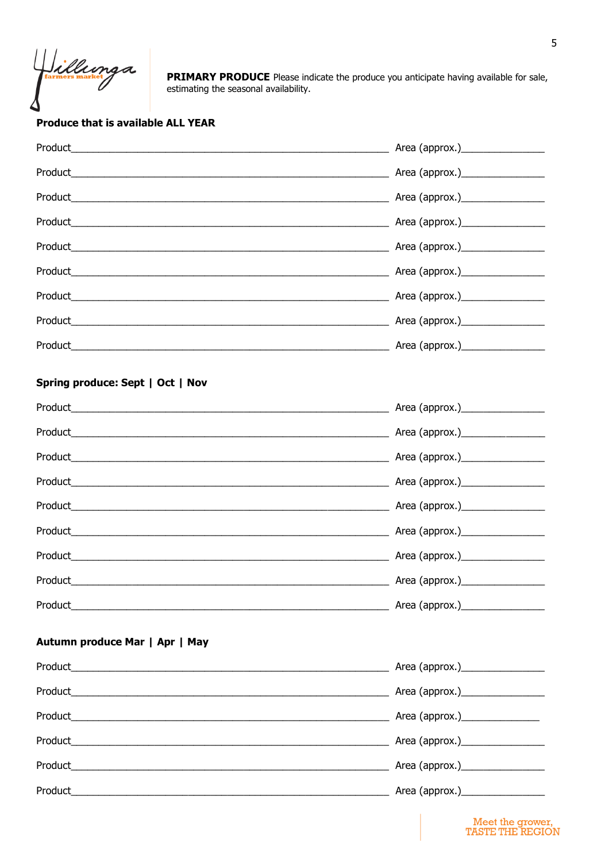Jillunga

PRIMARY PRODUCE Please indicate the produce you anticipate having available for sale, estimating the seasonal availability.

## **Produce that is available ALL YEAR**

| Product                          |  |
|----------------------------------|--|
|                                  |  |
|                                  |  |
|                                  |  |
|                                  |  |
|                                  |  |
|                                  |  |
|                                  |  |
|                                  |  |
| Spring produce: Sept   Oct   Nov |  |
|                                  |  |
|                                  |  |
|                                  |  |
|                                  |  |
|                                  |  |
|                                  |  |
|                                  |  |
|                                  |  |
|                                  |  |
| Product                          |  |
|                                  |  |
| Autumn produce Mar   Apr   May   |  |
|                                  |  |
|                                  |  |
|                                  |  |
|                                  |  |
|                                  |  |
|                                  |  |
|                                  |  |

Meet the grower,<br>TASTE THE REGION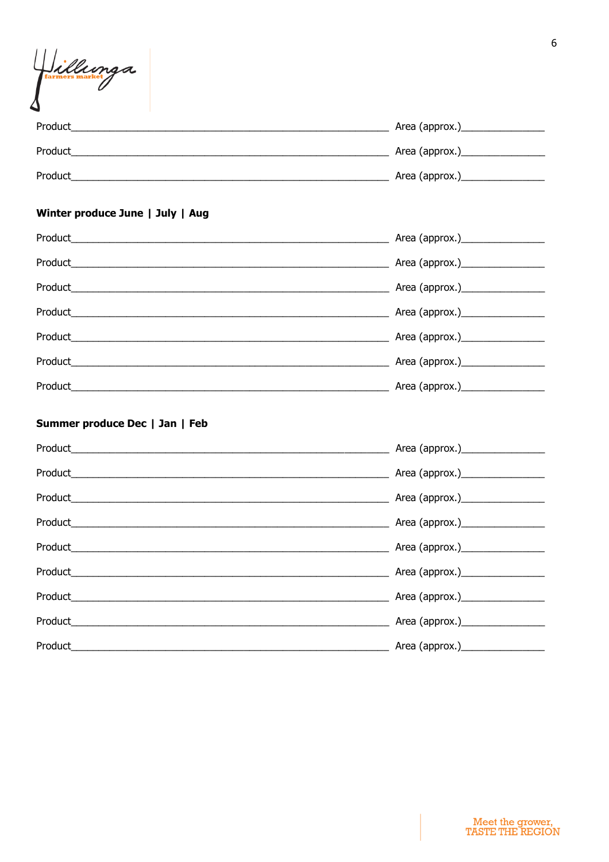| Hillunga                                                                                                                         |                                                                       |
|----------------------------------------------------------------------------------------------------------------------------------|-----------------------------------------------------------------------|
|                                                                                                                                  |                                                                       |
|                                                                                                                                  |                                                                       |
|                                                                                                                                  |                                                                       |
| Winter produce June   July   Aug                                                                                                 |                                                                       |
|                                                                                                                                  |                                                                       |
|                                                                                                                                  |                                                                       |
|                                                                                                                                  |                                                                       |
|                                                                                                                                  |                                                                       |
|                                                                                                                                  |                                                                       |
|                                                                                                                                  |                                                                       |
|                                                                                                                                  |                                                                       |
| Summer produce Dec   Jan   Feb                                                                                                   |                                                                       |
|                                                                                                                                  |                                                                       |
|                                                                                                                                  |                                                                       |
| Product                                                                                                                          | Area (approx.)                                                        |
| Product                                                                                                                          |                                                                       |
| Product_                                                                                                                         |                                                                       |
| Product_                                                                                                                         |                                                                       |
| Product                                                                                                                          | <u> 1999 - Jan James James Barnett, amerikan berketara (h. 1989).</u> |
| Product_<br><u> 1989 - Jan James James, martin de la componentat de la componentat de la componentat de la componentat de la</u> | Area (approx.) <b>No. 1998</b>                                        |
| Product_                                                                                                                         |                                                                       |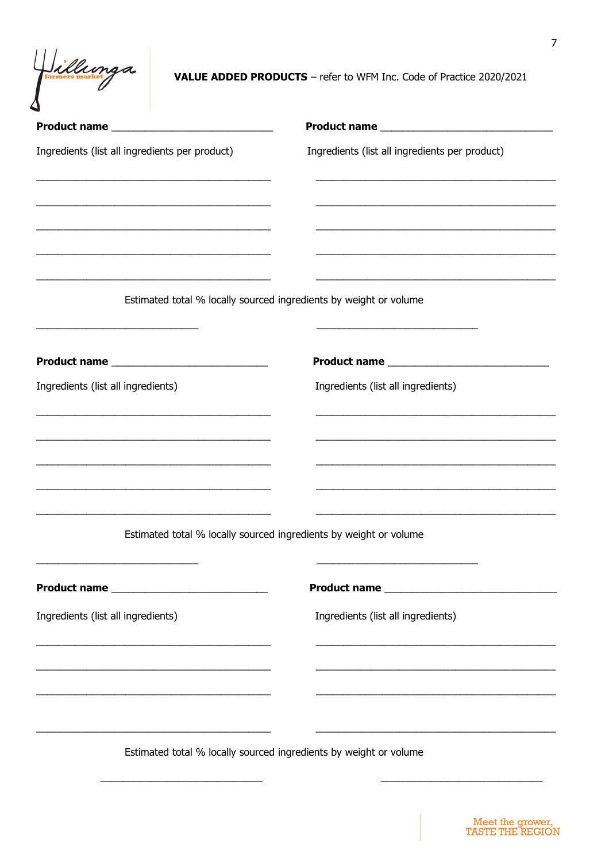Villunga

**VALUE ADDED PRODUCTS** - refer to WFM Inc. Code of Practice 2020/2021

| Ingredients (list all ingredients per product)<br><u> 1989 - Johann Stoff, amerikansk politiker (d. 1989)</u>        | Ingredients (list all ingredients per product)                    |
|----------------------------------------------------------------------------------------------------------------------|-------------------------------------------------------------------|
| <u> 1989 - Jan James James Jan James James James James James James James James James James James James James Jam</u> | Estimated total % locally sourced ingredients by weight or volume |
|                                                                                                                      |                                                                   |
|                                                                                                                      |                                                                   |
| Ingredients (list all ingredients)                                                                                   | Ingredients (list all ingredients)                                |
|                                                                                                                      | Estimated total % locally sourced ingredients by weight or volume |
|                                                                                                                      |                                                                   |
| Ingredients (list all ingredients)<br><u> 1989 - Johann Barbara, margaret eta idazlea (h. 1989).</u>                 | Ingredients (list all ingredients)                                |
|                                                                                                                      |                                                                   |
|                                                                                                                      |                                                                   |
|                                                                                                                      | Estimated total % locally sourced ingredients by weight or volume |

Meet the grower,<br>TASTE THE REGION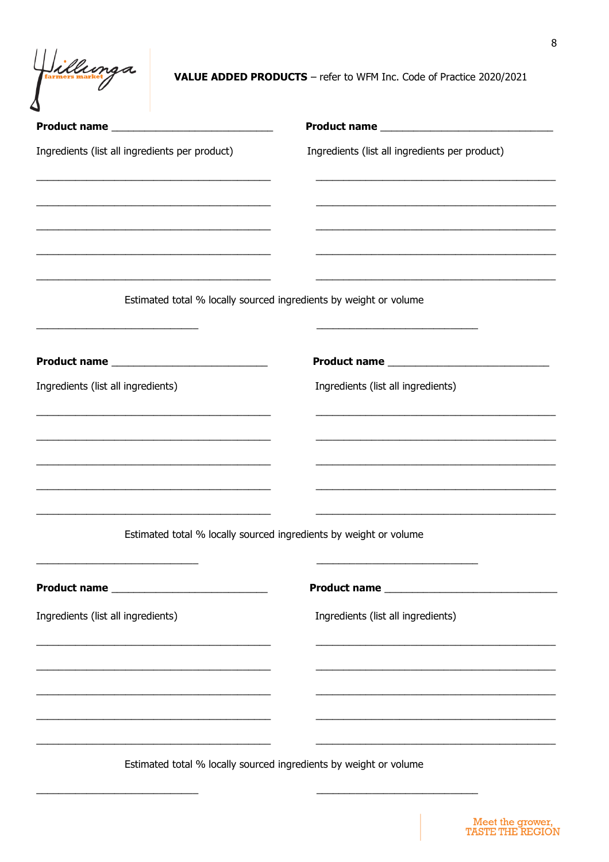Villunga

VALUE ADDED PRODUCTS - refer to WFM Inc. Code of Practice 2020/2021

| Ingredients (list all ingredients per product)                                                                                                                                                                                                | Ingredients (list all ingredients per product)                    |
|-----------------------------------------------------------------------------------------------------------------------------------------------------------------------------------------------------------------------------------------------|-------------------------------------------------------------------|
| <u> 1989 - Jan James James, martin de ferror eta politikari (h. 1989).</u>                                                                                                                                                                    |                                                                   |
|                                                                                                                                                                                                                                               |                                                                   |
| <u> 1989 - Johann Stoff, amerikansk politiker (d. 1989)</u>                                                                                                                                                                                   | Estimated total % locally sourced ingredients by weight or volume |
|                                                                                                                                                                                                                                               |                                                                   |
| Ingredients (list all ingredients)                                                                                                                                                                                                            | Ingredients (list all ingredients)                                |
|                                                                                                                                                                                                                                               |                                                                   |
| <u> 1989 - Johann Stoff, deutscher Stoff, der Stoff, der Stoff, der Stoff, der Stoff, der Stoff, der Stoff, der S</u><br><u> 1989 - Johann Barn, amerikan bernama di sebagai bernama dan bernama di sebagai bernama dalam bernama dalam b</u> |                                                                   |
|                                                                                                                                                                                                                                               | Estimated total % locally sourced ingredients by weight or volume |
|                                                                                                                                                                                                                                               |                                                                   |
| Ingredients (list all ingredients)                                                                                                                                                                                                            | Ingredients (list all ingredients)                                |
| <u> 2002 - Jan James James James James James James James James James James James James James James James James J</u><br><u> 1989 - Johann Barn, mars an t-Amerikaansk politiker (* 1908)</u>                                                  |                                                                   |
| <u> 1989 - Johann Stoff, deutscher Stoff, der Stoff, der Stoff, der Stoff, der Stoff, der Stoff, der Stoff, der S</u>                                                                                                                         |                                                                   |
|                                                                                                                                                                                                                                               |                                                                   |